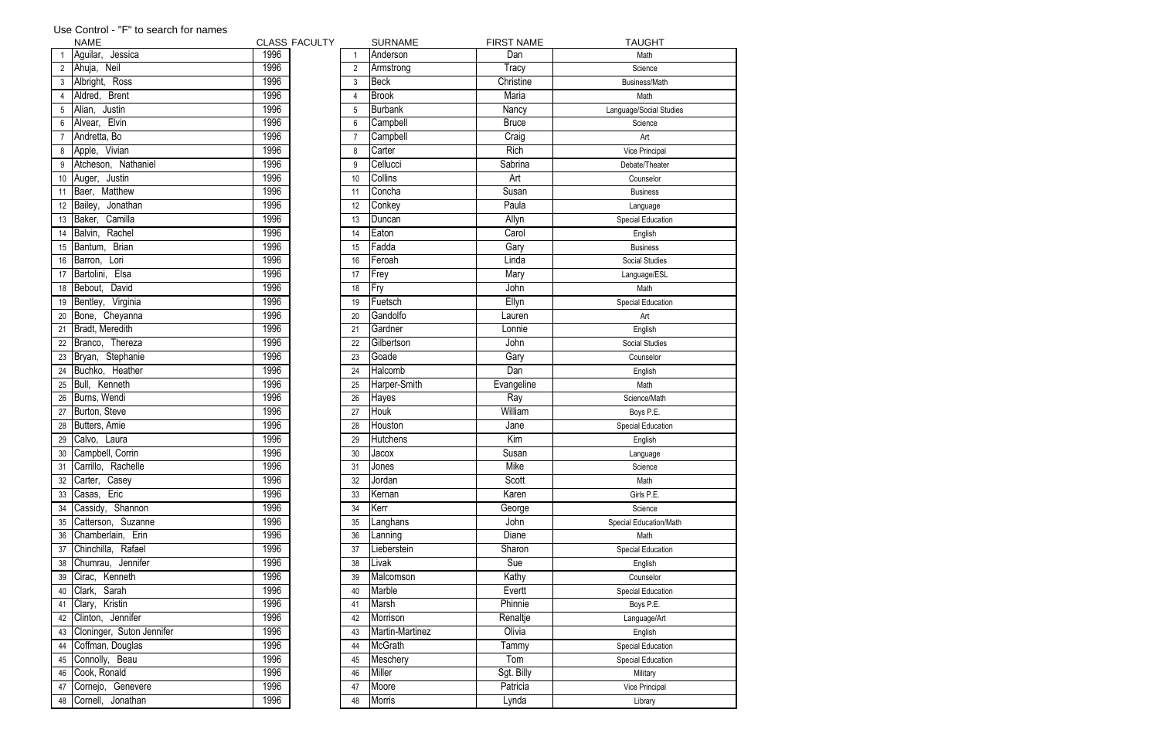|                 | <b>NAME</b>               |      | <b>CLASS FACULTY</b> |    | <b>SURNAME</b>  | <b>FIRST NAME</b> | <b>TAUGHT</b>            |
|-----------------|---------------------------|------|----------------------|----|-----------------|-------------------|--------------------------|
|                 | Aguilar, Jessica          | 1996 |                      |    | Anderson        | Dan               | Math                     |
| 2               | Ahuja, Neil               | 1996 |                      |    | Armstrong       | Tracy             | Science                  |
| 3               | Albright, Ross            | 1996 |                      | 3  | Beck            | Christine         | Business/Math            |
|                 | Aldred, Brent             | 1996 |                      | 4  | <b>Brook</b>    | Maria             | Math                     |
| 5               | Alian,<br>Justin          | 1996 |                      | 5  | Burbank         | Nancy             | Language/Social Studies  |
| 6               | Alvear, Elvin             | 1996 |                      | 6  | Campbell        | <b>Bruce</b>      | Science                  |
|                 | Andretta, Bo              | 1996 |                      |    | Campbell        | Craig             | Art                      |
| 8               | Apple, Vivian             | 1996 |                      | 8  | Carter          | Rich              | Vice Principal           |
| 9               | Atcheson, Nathaniel       | 1996 |                      | 9  | Cellucci        | Sabrina           | Debate/Theater           |
| 10              | Auger, Justin             | 1996 |                      | 10 | <b>Collins</b>  | Art               | Counselor                |
| 11              | Baer, Matthew             | 1996 |                      | 11 | Concha          | Susan             | <b>Business</b>          |
| 12              | Bailey, Jonathan          | 1996 |                      | 12 | Conkey          | Paula             | Language                 |
| 13              | Baker, Camilla            | 1996 |                      | 13 | Duncan          | Allyn             | Special Education        |
| 14              | Balvin, Rachel            | 1996 |                      | 14 | Eaton           | Carol             | English                  |
| 15              | Bantum, Brian             | 1996 |                      | 15 | Fadda           | Gary              | <b>Business</b>          |
| 16              | Barron, Lori              | 1996 |                      | 16 | Feroah          | Linda             | Social Studies           |
| 17              | Bartolini, Elsa           | 1996 |                      | 17 | Frey            | Mary              | Language/ESL             |
| 18              | Bebout, David             | 1996 |                      | 18 | Fry             | John              | Math                     |
| 19              | Virginia<br>Bentley,      | 1996 |                      | 19 | Fuetsch         | Ellyn             | Special Education        |
| 20              | Bone, Cheyanna            | 1996 |                      | 20 | Gandolfo        | Lauren            | Art                      |
| 21              | Bradt, Meredith           | 1996 |                      | 21 | Gardner         | Lonnie            | English                  |
| 22              | Branco, Thereza           | 1996 |                      | 22 | Gilbertson      | John              | Social Studies           |
| 23              | Bryan, Stephanie          | 1996 |                      | 23 | Goade           | Gary              | Counselor                |
| 24              | Buchko, Heather           | 1996 |                      | 24 | Halcomb         | Dan               | English                  |
| 25              | Bull, Kenneth             | 1996 |                      | 25 | Harper-Smith    | Evangeline        | Math                     |
| 26              | Burns, Wendi              | 1996 |                      | 26 | <b>Hayes</b>    | Ray               | Science/Math             |
| 27              | Burton, Steve             | 1996 |                      | 27 | Houk            | William           | Boys P.E.                |
| 28              | Butters, Amie             | 1996 |                      | 28 | Houston         | Jane              | <b>Special Education</b> |
| 29              | Calvo, Laura              | 1996 |                      | 29 | <b>Hutchens</b> | Kim               | English                  |
| 30 <sub>o</sub> | Campbell, Corrin          | 1996 |                      | 30 | Jacox           | Susan             | Language                 |
| 31              | Carrillo, Rachelle        | 1996 |                      | 31 | <b>Jones</b>    | Mike              | Science                  |
| 32              | Casey<br>Carter,          | 1996 |                      | 32 | Jordan          | Scott             | Math                     |
| 33              | Casas, Eric               | 1996 |                      | 33 | Kernan          | Karen             | Girls P.E.               |
| 34              | Cassidy, Shannon          | 1996 |                      | 34 | Kerr            | George            | Science                  |
| 35              | Catterson, Suzanne        | 1996 |                      | 35 | Langhans        | John              | Special Education/Math   |
| 36              | Chamberlain, Erin         | 1996 |                      | 36 | Lanning         | Diane             | Math                     |
| 37              | Chinchilla, Rafael        | 1996 |                      | 37 | Lieberstein     | Sharon            | Special Education        |
| 38              | Chumrau, Jennifer         | 1996 |                      | 38 | Livak           | Sue               | English                  |
| 39              | Cirac, Kenneth            | 1996 |                      | 39 | Malcomson       | Kathy             | Counselor                |
| 40              | Clark, Sarah              | 1996 |                      | 40 | Marble          | Evertt            | Special Education        |
| 41              | Clary, Kristin            | 1996 |                      | 41 | Marsh           | Phinnie           | Boys P.E.                |
| 42              | Clinton, Jennifer         | 1996 |                      | 42 | Morrison        | Renaltje          | Language/Art             |
| 43              | Cloninger, Suton Jennifer | 1996 |                      | 43 | Martin-Martinez | Olivia            | English                  |
| 44              | Coffman, Douglas          | 1996 |                      | 44 | McGrath         | Tammy             | Special Education        |
| 45              | Connolly, Beau            | 1996 |                      | 45 | Meschery        | Tom               | Special Education        |
| 46              | Cook, Ronald              | 1996 |                      | 46 | Miller          | Sgt. Billy        | Military                 |
| 47              | Cornejo, Genevere         | 1996 |                      | 47 | Moore           | Patricia          | Vice Principal           |
|                 | 48 Cornell, Jonathan      | 1996 |                      | 48 | Morris          | Lynda             | Library                  |

## Use Control - "F" to search for names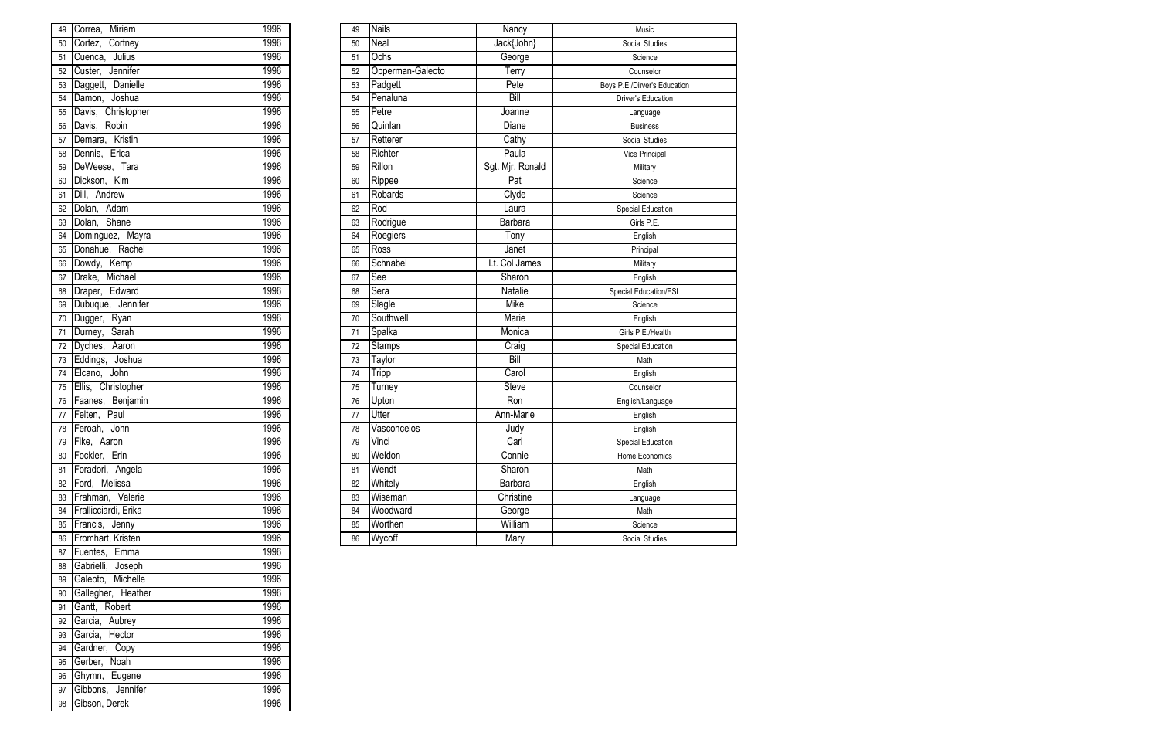| 49              | Correa.<br>Miriam    | 1996 | 49 | <b>Nails</b>     | Nancy              | Music                        |
|-----------------|----------------------|------|----|------------------|--------------------|------------------------------|
| 50              | Cortez,<br>Cortney   | 1996 | 50 | Neal             | Jack{John}         | Social Studies               |
| 51              | Cuenca, Julius       | 1996 | 51 | Ochs             | George             | Science                      |
| 52              | Custer, Jennifer     | 1996 | 52 | Opperman-Galeoto | Terry              | Counselor                    |
| 53              | Daggett, Danielle    | 1996 | 53 | Padgett          | Pete               | Boys P.E./Dirver's Education |
| 54              | Damon, Joshua        | 1996 | 54 | Penaluna         | Bill               | <b>Driver's Education</b>    |
| 55              | Davis, Christopher   | 1996 | 55 | Petre            | Joanne             | Language                     |
| 56              | Robin<br>Davis,      | 1996 | 56 | Quinlan          | Diane              | <b>Business</b>              |
| 57              | Demara, Kristin      | 1996 | 57 | Retterer         | Cathy              | <b>Social Studies</b>        |
| 58              | Dennis, Erica        | 1996 | 58 | Richter          | Paula              | Vice Principal               |
| 59              | DeWeese, Tara        | 1996 | 59 | Rillon           | Sgt. Mjr. Ronald   | Military                     |
| 60              | Dickson, Kim         | 1996 | 60 | Rippee           | Pat                | Science                      |
| 61              | Dill, Andrew         | 1996 | 61 | Robards          | Clyde              | Science                      |
| 62              | Dolan, Adam          | 1996 | 62 | Rod              | Laura              | <b>Special Education</b>     |
| 63              | Dolan, Shane         | 1996 | 63 | Rodrigue         | <b>Barbara</b>     | Girls P.E.                   |
| 64              | Dominguez, Mayra     | 1996 | 64 | Roegiers         | $\overline{T}$ ony | English                      |
| 65              | Donahue, Rachel      | 1996 | 65 | <b>Ross</b>      | Janet              | Principal                    |
| 66              | Dowdy, Kemp          | 1996 | 66 | Schnabel         | Lt. Col James      | Military                     |
| 67              | Drake, Michael       | 1996 | 67 | See              | Sharon             | English                      |
| 68              | Draper, Edward       | 1996 | 68 | Sera             | Natalie            | Special Education/ESL        |
| 69              | Dubuque, Jennifer    | 1996 | 69 | Slagle           | Mike               | Science                      |
| 70              | Dugger, Ryan         | 1996 | 70 | Southwell        | Marie              | English                      |
| 71              | Durney, Sarah        | 1996 | 71 | Spalka           | Monica             | Girls P.E./Health            |
| 72              | Dyches, Aaron        | 1996 | 72 | Stamps           | Craig              | <b>Special Education</b>     |
| 73              | Eddings, Joshua      | 1996 | 73 | Taylor           | Bill               | Math                         |
| 74              | Elcano, John         | 1996 | 74 | <b>Tripp</b>     | Carol              | English                      |
| 75              | Ellis, Christopher   | 1996 | 75 | Turney           | <b>Steve</b>       | Counselor                    |
| $\overline{76}$ | Faanes, Benjamin     | 1996 | 76 | Upton            | Ron                | English/Language             |
| 77              | Felten, Paul         | 1996 | 77 | Utter            | Ann-Marie          | English                      |
| 78              | Feroah, John         | 1996 | 78 | Vasconcelos      | Judy               | English                      |
|                 | 79 Fike, Aaron       | 1996 | 79 | Vinci            | Carl               | Special Education            |
|                 | 80 Fockler, Erin     | 1996 | 80 | Weldon           | Connie             | Home Economics               |
|                 | 81 Foradori, Angela  | 1996 | 81 | Wendt            | Sharon             | Math                         |
|                 | 82 Ford, Melissa     | 1996 | 82 | Whitely          | Barbara            | English                      |
| 83              | Frahman, Valerie     | 1996 | 83 | Wiseman          | Christine          | Language                     |
| 84              | Frallicciardi, Erika | 1996 | 84 | Woodward         | George             | Math                         |
| 85              | Francis, Jenny       | 1996 | 85 | Worthen          | William            | Science                      |
|                 | 86 Fromhart, Kristen | 1996 | 86 | Wycoff           | Mary               | <b>Social Studies</b>        |

| 49       | Correa, Miriam                     | 1996 |
|----------|------------------------------------|------|
| 50       | Cortez, Cortney                    | 1996 |
| 51       | Cuenca, Julius                     | 1996 |
| 52       | Custer, Jennifer                   | 1996 |
| 53       | Daggett, Danielle                  | 1996 |
| 54       | Damon, Joshua                      | 1996 |
| 55       | Davis, Christopher                 | 1996 |
| 56       | Davis, Robin                       | 1996 |
| 57       | Demara, Kristin                    | 1996 |
| 58       | Dennis, Erica                      | 1996 |
| 59       | DeWeese, Tara                      | 1996 |
| 60       | Dickson, Kim                       | 1996 |
| 61       | Dill, Andrew                       | 1996 |
| 62       | Dolan, Adam                        | 1996 |
| 63       | Dolan, Shane                       | 1996 |
| 64       | Dominguez, Mayra                   | 1996 |
| 65       | Donahue, Rachel                    | 1996 |
| 66       | Dowdy, Kemp                        | 1996 |
| 67       | Drake, Michael                     | 1996 |
| 68       | Draper, Edward                     | 1996 |
| 69       | Dubuque, Jennifer                  | 1996 |
| 70       | Dugger, Ryan                       | 1996 |
| 71       |                                    | 1996 |
| 72       | Durney, Sarah<br>Dyches, Aaron     | 1996 |
| 73       | Eddings, Joshua                    | 1996 |
| 74       | Elcano, John                       | 1996 |
| 75       | Ellis, Christopher                 | 1996 |
| 76       | Faanes, Benjamin                   | 1996 |
| 77       | Felten, Paul                       | 1996 |
| 78       | Feroah, John                       | 1996 |
|          | 79 Fike, Aaron                     | 1996 |
| 80       | Fockler, Erin                      | 1996 |
| 81       | Foradori, Angela                   | 1996 |
| 82       | Ford, Melissa                      | 1996 |
| 83       | Frahman, Valerie                   | 1996 |
| 84       | Frallicciardi, Erika               | 1996 |
|          | Francis, Jenny                     | 1996 |
| 85       | Fromhart, Kristen                  | 1996 |
| 86       | Fuentes, Emma                      | 1996 |
| 87       | Gabrielli, Joseph                  | 1996 |
| 88       | Galeoto, Michelle                  | 1996 |
| 89<br>90 | Gallegher, Heather                 | 1996 |
|          | Gantt, Robert                      | 1996 |
| 91       |                                    | 1996 |
| 92       | Garcia, Aubrey<br>Garcia, Hector   | 1996 |
| 93       |                                    | 1996 |
| 94       | Gardner, Copy<br>Gerber, Noah      | 1996 |
| 95       |                                    | 1996 |
| 96       | Ghymn, Eugene<br>Gibbons, Jennifer | 1996 |
| 97       |                                    | 1996 |
| 98       | Gibson, Derek                      |      |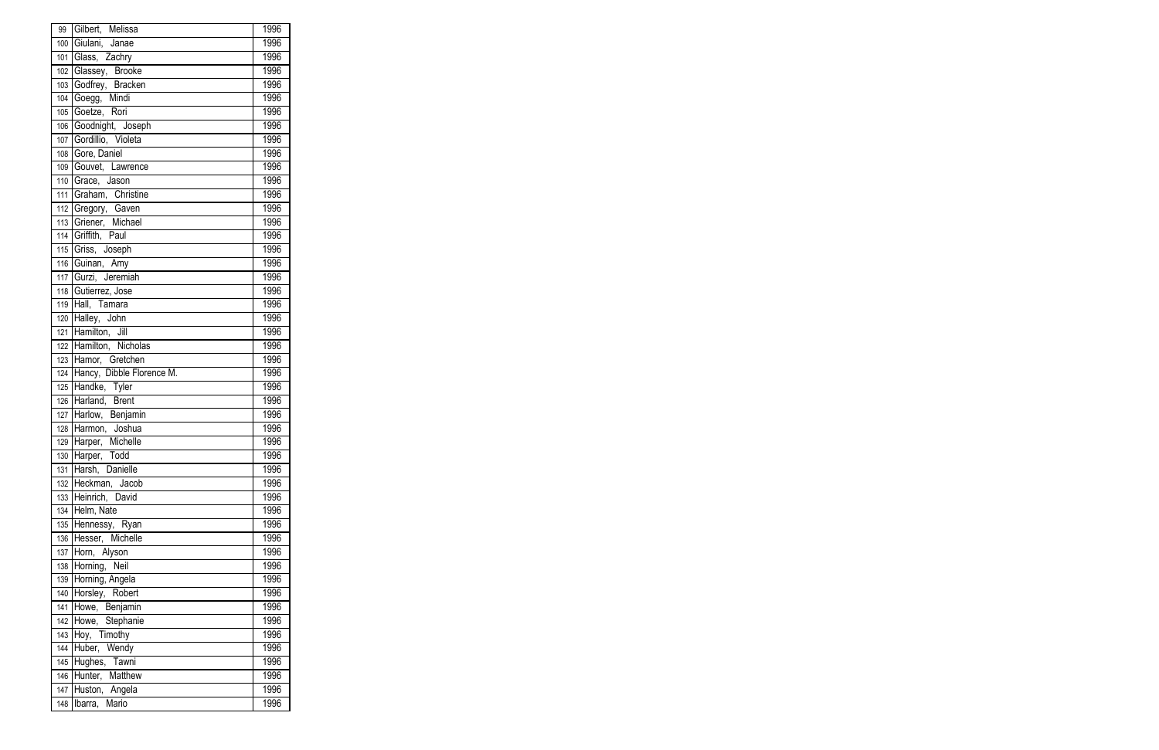| 99  | Gilbert, Melissa          | 1996 |
|-----|---------------------------|------|
| 100 | Giulani, Janae            | 1996 |
| 101 | Glass, Zachry             | 1996 |
|     | 102 Glassey, Brooke       | 1996 |
| 103 | Godfrey, Bracken          | 1996 |
| 104 | Goegg, Mindi              | 1996 |
| 105 | Goetze, Rori              | 1996 |
| 106 | Goodnight, Joseph         | 1996 |
|     | 107 Gordillio, Violeta    | 1996 |
|     | 108 Gore, Daniel          | 1996 |
| 109 | Gouvet, Lawrence          | 1996 |
| 110 | Grace, Jason              | 1996 |
|     | 111 Graham, Christine     | 1996 |
|     | 112 Gregory, Gaven        | 1996 |
|     | 113 Griener, Michael      | 1996 |
|     | 114 Griffith, Paul        | 1996 |
| 115 | Griss, Joseph             | 1996 |
| 116 | Guinan, Amy               | 1996 |
|     | 117 Gurzi, Jeremiah       | 1996 |
|     | 118 Gutierrez, Jose       | 1996 |
| 119 | Hall, Tamara              | 1996 |
|     | 120 Halley, John          | 1996 |
|     | 121 Hamilton, Jill        | 1996 |
|     | 122 Hamilton, Nicholas    | 1996 |
|     | 123 Hamor, Gretchen       | 1996 |
| 124 | Hancy, Dibble Florence M. | 1996 |
| 125 | Handke, Tyler             | 1996 |
|     | 126 Harland, Brent        | 1996 |
|     | 127 Harlow, Benjamin      | 1996 |
|     | 128 Harmon, Joshua        | 1996 |
|     | 129 Harper, Michelle      | 1996 |
| 130 | Harper, Todd              | 1996 |
| 131 | Harsh, Danielle           | 1996 |
| 132 | Heckman, Jacob            | 1996 |
| 133 | Heinrich, David           | 1996 |
| 134 | Helm, Nate                | 1996 |
| 135 | Hennessy, Ryan            | 1996 |
| 136 | Hesser, Michelle          | 1996 |
| 137 | Horn, Alyson              | 1996 |
| 138 | Horning, Neil             | 1996 |
| 139 | Horning, Angela           | 1996 |
| 140 | Horsley, Robert           | 1996 |
| 141 | Howe, Benjamin            | 1996 |
| 142 | Howe, Stephanie           | 1996 |
| 143 | Hoy, Timothy              | 1996 |
| 144 | Huber, Wendy              | 1996 |
| 145 | Hughes, Tawni             | 1996 |
| 146 | Hunter, Matthew           | 1996 |
| 147 | Huston, Angela            | 1996 |
|     | 148 Ibarra, Mario         | 1996 |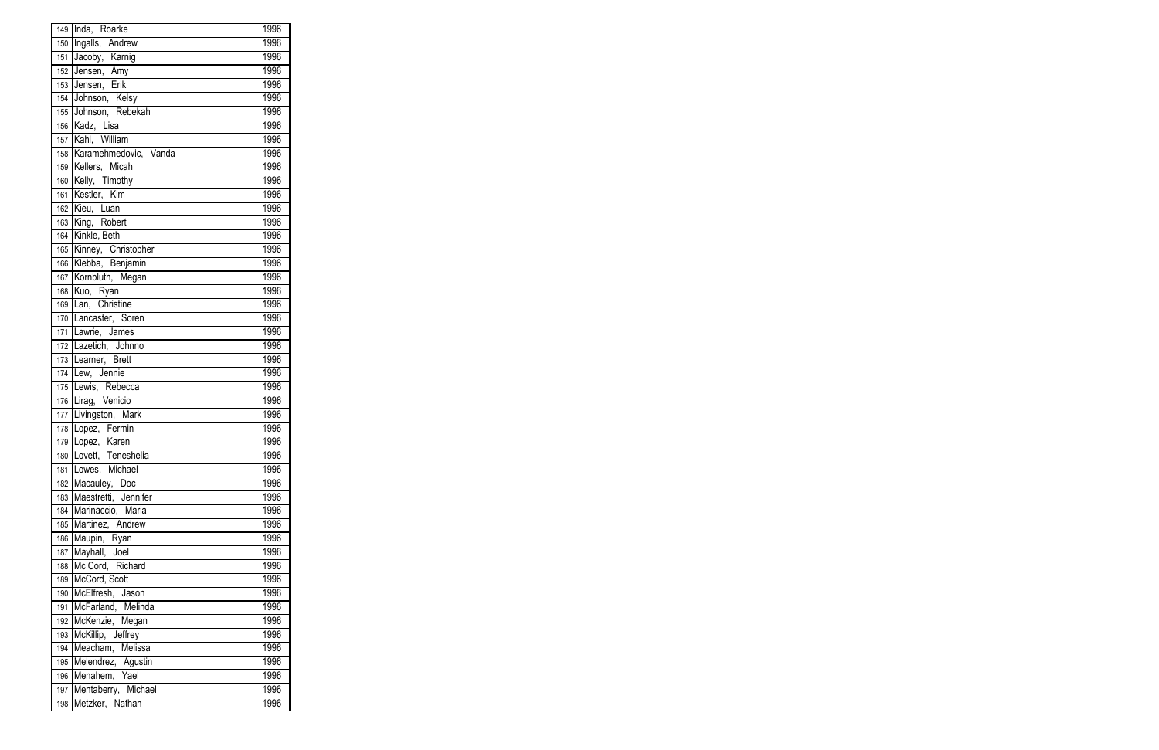|          | 149 Inda, Roarke            | 1996 |
|----------|-----------------------------|------|
| 150      | Ingalls, Andrew             | 1996 |
| 151      | Jacoby, Karnig              | 1996 |
| 152      | Jensen, Amy<br>Jensen, Erik | 1996 |
| 153      |                             | 1996 |
| 154      | Johnson, Kelsy              | 1996 |
| 155      | Johnson, Rebekah            | 1996 |
| 156      | Kadz, Lisa                  | 1996 |
|          | 157 Kahl, William           | 1996 |
|          | 158 Karamehmedovic, Vanda   | 1996 |
|          | 159 Kellers, Micah          | 1996 |
| 160      | Kelly, Timothy              | 1996 |
| 161      | Kestler, Kim                | 1996 |
|          | 162 Kieu, Luan              | 1996 |
|          | 163 King, Robert            | 1996 |
| 164      | Kinkle, Beth                | 1996 |
| 165      | Kinney, Christopher         | 1996 |
| 166      | Klebba, Benjamin            | 1996 |
| 167      | Kornbluth, Megan            | 1996 |
| 168      | Kuo, Ryan                   | 1996 |
| 169      | Lan, Christine              | 1996 |
|          | 170 Lancaster, Soren        | 1996 |
|          | 171 Lawrie, James           | 1996 |
|          | 172 Lazetich, Johnno        | 1996 |
|          | 173 Learner, Brett          | 1996 |
| -<br>174 | Lew, Jennie                 | 1996 |
|          | 175 Lewis, Rebecca          | 1996 |
|          | 176 Lirag, Venicio          | 1996 |
|          | 177 Livingston, Mark        | 1996 |
|          | 178 Lopez, Fermin           | 1996 |
|          | 179 Lopez, Karen            | 1996 |
| 180      | Lovett, Teneshelia          | 1996 |
| 181      | Lowes, Michael              | 1996 |
| 182      | Macauley, Doc               | 1996 |
| 183      | Maestretti, Jennifer        | 1996 |
| 184      | Marinaccio, Maria           | 1996 |
| 185      | Martinez, Andrew            | 1996 |
| 186      | Maupin, Ryan                | 1996 |
| 187      | Mayhall, Joel               | 1996 |
| 188      | Mc Cord, Richard            | 1996 |
| 189      | McCord, Scott               | 1996 |
| 190      | McElfresh, Jason            | 1996 |
| 191      | McFarland, Melinda          | 1996 |
| 192      | McKenzie, Megan             | 1996 |
| 193      | McKillip, Jeffrey           | 1996 |
| 194      | Meacham, Melissa            | 1996 |
| 195      | Melendrez, Agustin          | 1996 |
| 196      | Menahem, Yael               | 1996 |
|          | 197 Mentaberry, Michael     | 1996 |
|          | 198 Metzker, Nathan         | 1996 |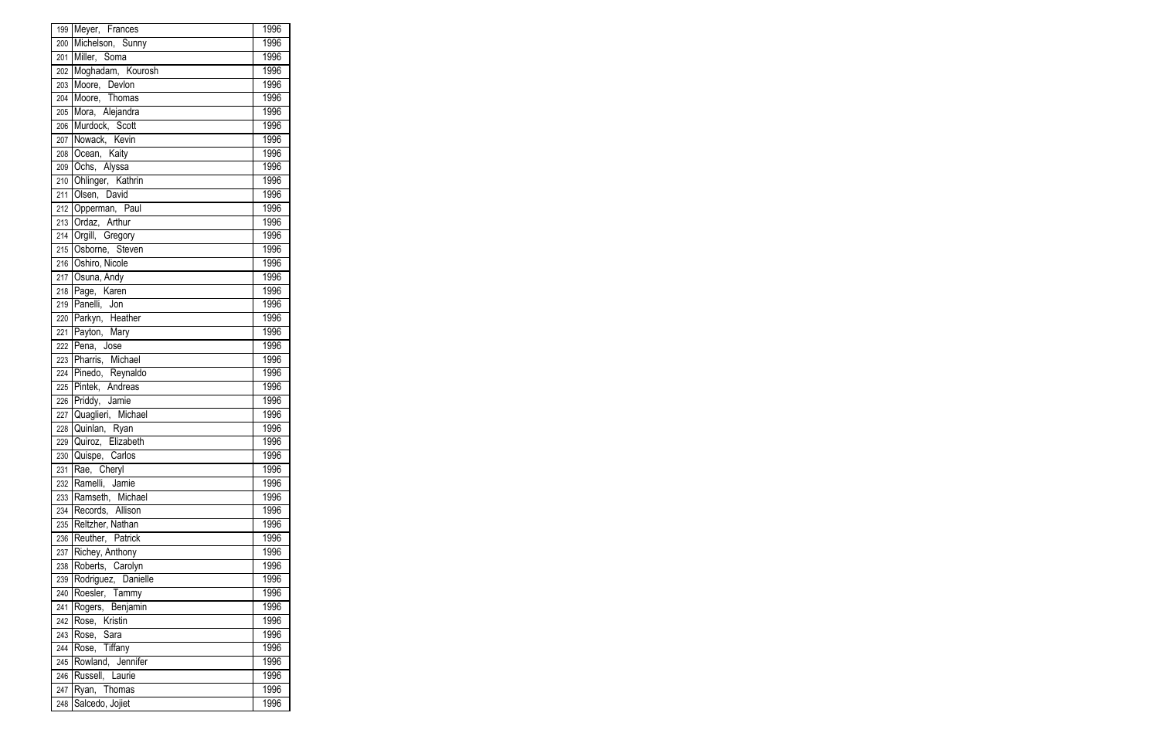|     | 199 Meyer, Frances  | 1996         |
|-----|---------------------|--------------|
| 200 | Michelson, Sunny    | 1996         |
| 201 | Miller, Soma        | 1996         |
| 202 | Moghadam, Kourosh   | 1996         |
| 203 | Moore, Devlon       | 1996         |
| 204 | Moore, Thomas       | 1996         |
| 205 | Mora, Alejandra     | 1996         |
| 206 | Murdock, Scott      | 1996         |
| 207 | Nowack, Kevin       | 1996         |
| 208 | Ocean, Kaity        | 1996         |
| 209 | Ochs, Alyssa        | 1996         |
| 210 | Ohlinger, Kathrin   | 1996         |
| 211 | Olsen, David        | 1996         |
| 212 | Opperman, Paul      | 1996         |
| 213 | Ordaz, Arthur       | 1996         |
| 214 | Orgill, Gregory     | 1996         |
| 215 | Osborne, Steven     | 1996         |
| 216 | Oshiro, Nicole      | 1996         |
| 217 | Osuna, Andy         | 1996         |
|     | 218 Page, Karen     | 1996         |
| 219 | Panelli, Jon        | 1996         |
| 220 | Parkyn, Heather     | 1996         |
| 221 | Payton, Mary        | 1996         |
| 222 | Pena, Jose          | 1996         |
| 223 | Pharris, Michael    | 1996         |
| 224 | Pinedo, Reynaldo    | 1996         |
| 225 | Pintek, Andreas     | 1996         |
| 226 | Priddy, Jamie       | 1996         |
| 227 | Quaglieri, Michael  | 1996         |
| 228 | Quinlan, Ryan       | 1996         |
| 229 | Quiroz, Elizabeth   | 1996         |
| 230 | Quispe, Carlos      | 1996         |
| 231 | Rae, Cheryl         | 1996         |
| 232 | Ramelli, Jamie      | 1996         |
| 233 | Ramseth, Michael    | 1996         |
| 234 | Records, Allison    | 1996         |
| 235 | Reltzher, Nathan    | 1996         |
| 236 | Reuther, Patrick    | 1996         |
| 237 | Richey, Anthony     | 1996         |
| 238 | Roberts, Carolyn    | 1996         |
| 239 | Rodriguez, Danielle | 1996         |
| 240 | Roesler, Tammy      | 1996         |
| 241 | Rogers, Benjamin    | 1996         |
|     | Rose, Kristin       | 1996         |
| 242 |                     | 1996         |
| 243 | Rose, Sara          |              |
| 244 | Rose, Tiffany       | 1996<br>1996 |
| 245 | Rowland, Jennifer   |              |
| 246 | Russell, Laurie     | 1996         |
| 247 | Ryan, Thomas        | 1996         |
| 248 | Salcedo, Jojiet     | 1996         |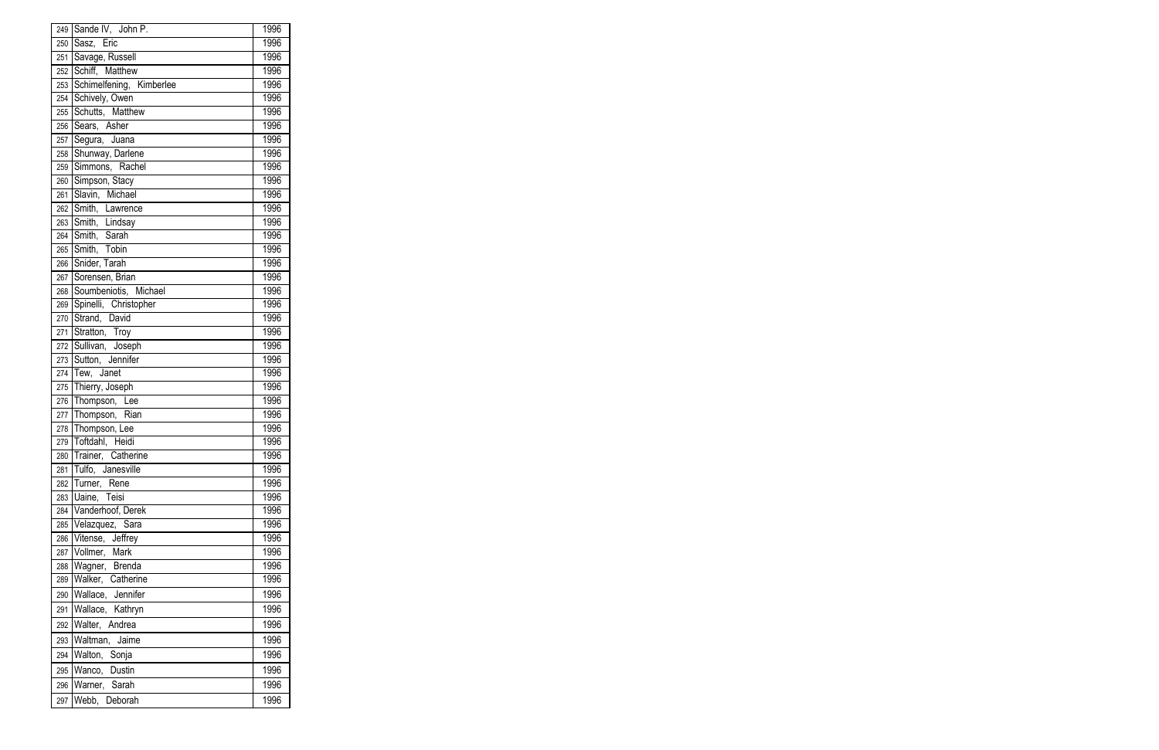|     | 249 Sande IV, John P.     | 1996 |
|-----|---------------------------|------|
| 250 | Sasz, Eric                | 1996 |
| 251 | Savage, Russell           | 1996 |
| 252 | Schiff, Matthew           | 1996 |
| 253 | Schimelfening, Kimberlee  | 1996 |
|     | 254 Schively, Owen        | 1996 |
| 255 | Schutts, Matthew          | 1996 |
| 256 | Sears, Asher              | 1996 |
| 257 | Segura, Juana             | 1996 |
| 258 | Shunway, Darlene          | 1996 |
| 259 | Simmons, Rachel           | 1996 |
| 260 | Simpson, Stacy            | 1996 |
| 261 | Slavin, Michael           | 1996 |
| 262 | Smith, Lawrence           | 1996 |
| 263 | Smith, Lindsay            | 1996 |
| 264 | Smith, Sarah              | 1996 |
| 265 | Smith, Tobin              | 1996 |
| 266 | Snider, Tarah             | 1996 |
| 267 | Sorensen, Brian           | 1996 |
|     | 268 Soumbeniotis, Michael | 1996 |
| 269 | Spinelli, Christopher     | 1996 |
| 270 | Strand, David             | 1996 |
| 271 | Stratton, Troy            | 1996 |
|     | 272 Sullivan, Joseph      | 1996 |
|     | 273 Sutton, Jennifer      | 1996 |
| 274 | Tew, Janet                | 1996 |
| 275 | Thierry, Joseph           | 1996 |
|     | 276 Thompson, Lee         | 1996 |
| 277 | Thompson, Rian            | 1996 |
| 278 | Thompson, Lee             | 1996 |
|     | 279 Toftdahl, Heidi       | 1996 |
| 280 | Trainer, Catherine        | 1996 |
| 281 | Tulfo, Janesville         | 1996 |
| 282 | Turner, Rene              | 1996 |
| 283 | Uaine, Teisi              | 1996 |
| 284 | Vanderhoof, Derek         | 1996 |
| 285 | Velazquez, Sara           | 1996 |
| 286 | Vitense, Jeffrey          | 1996 |
| 287 | Vollmer, Mark             | 1996 |
| 288 | Wagner, Brenda            | 1996 |
| 289 | Walker, Catherine         | 1996 |
| 290 | Wallace, Jennifer         | 1996 |
| 291 | Wallace, Kathryn          | 1996 |
| 292 | Walter, Andrea            | 1996 |
| 293 | Waltman, Jaime            | 1996 |
| 294 | Walton, Sonja             | 1996 |
| 295 | Wanco, Dustin             | 1996 |
| 296 | Warner, Sarah             | 1996 |
| 297 | Webb, Deborah             | 1996 |
|     |                           |      |